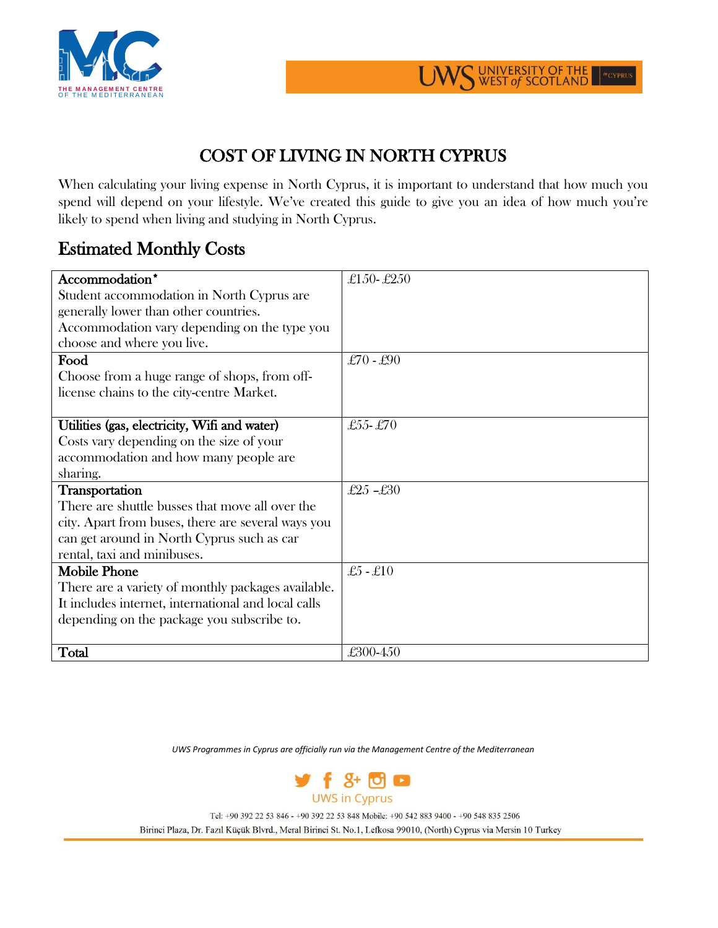



## COST OF LIVING IN NORTH CYPRUS

When calculating your living expense in North Cyprus, it is important to understand that how much you spend will depend on your lifestyle. We've created this guide to give you an idea of how much you're likely to spend when living and studying in North Cyprus.

## Estimated Monthly Costs

| Accommodation*                                      | £150-£250  |
|-----------------------------------------------------|------------|
| Student accommodation in North Cyprus are           |            |
| generally lower than other countries.               |            |
| Accommodation vary depending on the type you        |            |
| choose and where you live.                          |            |
| Food                                                | £70 - £90  |
| Choose from a huge range of shops, from off-        |            |
| license chains to the city-centre Market.           |            |
|                                                     |            |
| Utilities (gas, electricity, Wifi and water)        | £55-£70    |
| Costs vary depending on the size of your            |            |
| accommodation and how many people are               |            |
| sharing.                                            |            |
| Transportation                                      | £25-£30    |
| There are shuttle busses that move all over the     |            |
| city. Apart from buses, there are several ways you  |            |
| can get around in North Cyprus such as car          |            |
| rental, taxi and minibuses.                         |            |
| <b>Mobile Phone</b>                                 | $£5 - £10$ |
| There are a variety of monthly packages available.  |            |
| It includes internet, international and local calls |            |
| depending on the package you subscribe to.          |            |
|                                                     |            |
| Total                                               | £300-450   |

*UWS Programmes in Cyprus are officially run via the Management Centre of the Mediterranean*



Tel: +90 392 22 53 846 - +90 392 22 53 848 Mobile: +90 542 883 9400 - +90 548 835 2506

Birinci Plaza, Dr. Fazıl Küçük Blvrd., Meral Birinci St. No.1, Lefkosa 99010, (North) Cyprus via Mersin 10 Turkey